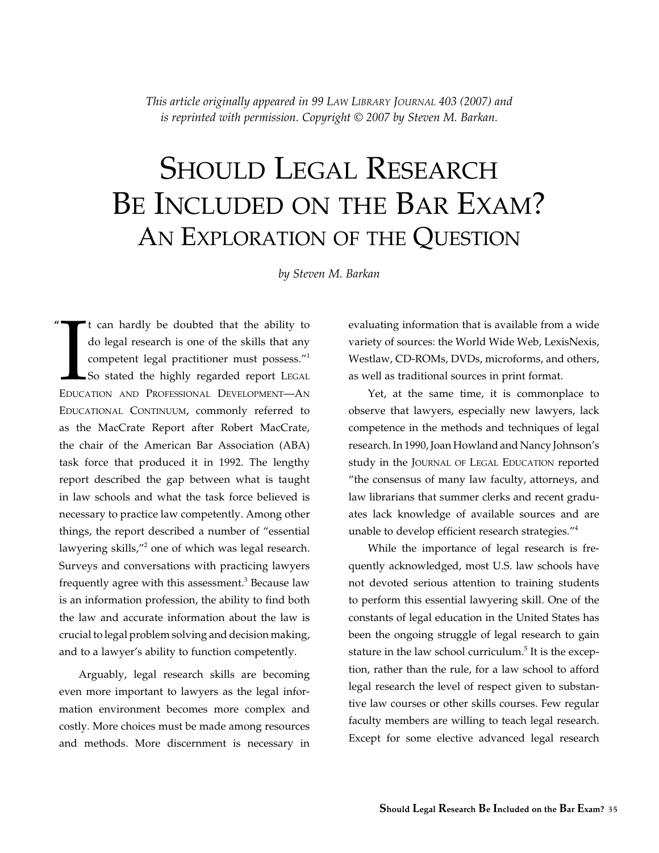*This article originally appeared in 99 Law Library Journal 403 (2007) and is reprinted with permission. Copyright © 2007 by Steven M. Barkan.*

# SHOULD LEGAL RESEARCH BE INCLUDED ON THE BAR EXAM? An Exploration of the Question

*by Steven M. Barkan*

It can hardly be doubted that the ability to<br>do legal research is one of the skills that any<br>competent legal practitioner must possess."<br>So stated the highly regarded report LEGAL<br>EDUCATION AND PROFESSIONAL DEVELOPMENT—AN t can hardly be doubted that the ability to do legal research is one of the skills that any competent legal practitioner must possess."<sup>1</sup> So stated the highly regarded report LEGAL EDUCATIONAL CONTINUUM, commonly referred to as the MacCrate Report after Robert MacCrate, the chair of the American Bar Association (ABA) task force that produced it in 1992. The lengthy report described the gap between what is taught in law schools and what the task force believed is necessary to practice law competently. Among other things, the report described a number of "essential lawyering skills,"<sup>2</sup> one of which was legal research. Surveys and conversations with practicing lawyers frequently agree with this assessment.<sup>3</sup> Because law is an information profession, the ability to find both the law and accurate information about the law is crucial to legal problem solving and decision making, and to a lawyer's ability to function competently. **"**

Arguably, legal research skills are becoming even more important to lawyers as the legal information environment becomes more complex and costly. More choices must be made among resources and methods. More discernment is necessary in

evaluating information that is available from a wide variety of sources: the World Wide Web, LexisNexis, Westlaw, CD-ROMs, DVDs, microforms, and others, as well as traditional sources in print format.

Yet, at the same time, it is commonplace to observe that lawyers, especially new lawyers, lack competence in the methods and techniques of legal research. In 1990, Joan Howland and Nancy Johnson's study in the JOURNAL OF LEGAL EDUCATION reported "the consensus of many law faculty, attorneys, and law librarians that summer clerks and recent graduates lack knowledge of available sources and are unable to develop efficient research strategies."4

While the importance of legal research is frequently acknowledged, most U.S. law schools have not devoted serious attention to training students to perform this essential lawyering skill. One of the constants of legal education in the United States has been the ongoing struggle of legal research to gain stature in the law school curriculum.<sup>5</sup> It is the exception, rather than the rule, for a law school to afford legal research the level of respect given to substantive law courses or other skills courses. Few regular faculty members are willing to teach legal research. Except for some elective advanced legal research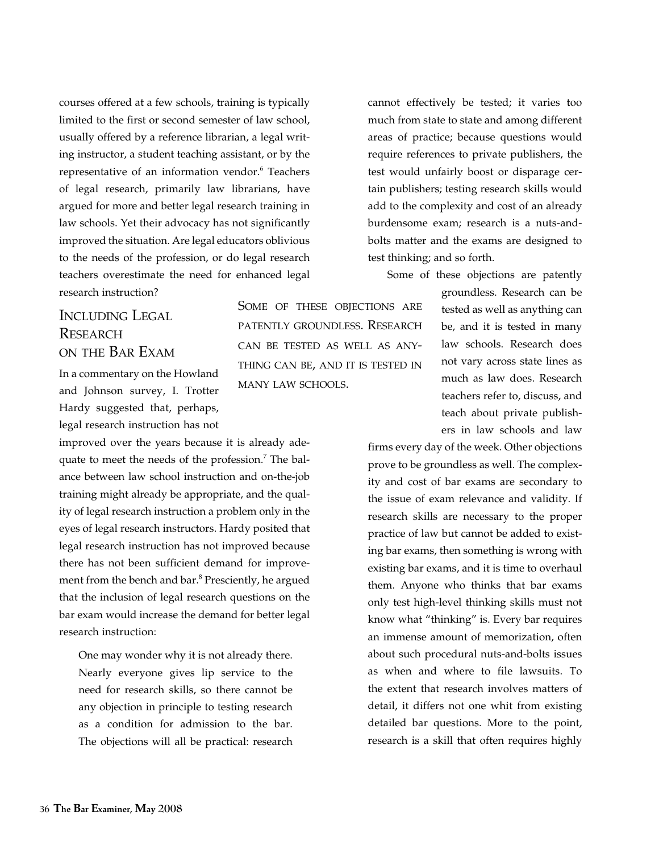courses offered at a few schools, training is typically limited to the first or second semester of law school, usually offered by a reference librarian, a legal writing instructor, a student teaching assistant, or by the representative of an information vendor.<sup>6</sup> Teachers of legal research, primarily law librarians, have argued for more and better legal research training in law schools. Yet their advocacy has not significantly improved the situation. Are legal educators oblivious to the needs of the profession, or do legal research teachers overestimate the need for enhanced legal research instruction?

## Including Legal **RESEARCH** on the Bar Exam

In a commentary on the Howland and Johnson survey, I. Trotter Hardy suggested that, perhaps, legal research instruction has not

improved over the years because it is already adequate to meet the needs of the profession.<sup>7</sup> The balance between law school instruction and on-the-job training might already be appropriate, and the quality of legal research instruction a problem only in the eyes of legal research instructors. Hardy posited that legal research instruction has not improved because there has not been sufficient demand for improvement from the bench and bar.<sup>8</sup> Presciently, he argued that the inclusion of legal research questions on the bar exam would increase the demand for better legal research instruction:

One may wonder why it is not already there. Nearly everyone gives lip service to the need for research skills, so there cannot be any objection in principle to testing research as a condition for admission to the bar. The objections will all be practical: research

SOME OF THESE OBJECTIONS ARE patently groundless. Research can be tested as well as anything can be, and it is tested in many law schools.

cannot effectively be tested; it varies too much from state to state and among different areas of practice; because questions would require references to private publishers, the test would unfairly boost or disparage certain publishers; testing research skills would add to the complexity and cost of an already burdensome exam; research is a nuts-andbolts matter and the exams are designed to test thinking; and so forth.

Some of these objections are patently

groundless. Research can be tested as well as anything can be, and it is tested in many law schools. Research does not vary across state lines as much as law does. Research teachers refer to, discuss, and teach about private publishers in law schools and law

firms every day of the week. Other objections prove to be groundless as well. The complexity and cost of bar exams are secondary to the issue of exam relevance and validity. If research skills are necessary to the proper practice of law but cannot be added to existing bar exams, then something is wrong with existing bar exams, and it is time to overhaul them. Anyone who thinks that bar exams only test high-level thinking skills must not know what "thinking" is. Every bar requires an immense amount of memorization, often about such procedural nuts-and-bolts issues as when and where to file lawsuits. To the extent that research involves matters of detail, it differs not one whit from existing detailed bar questions. More to the point, research is a skill that often requires highly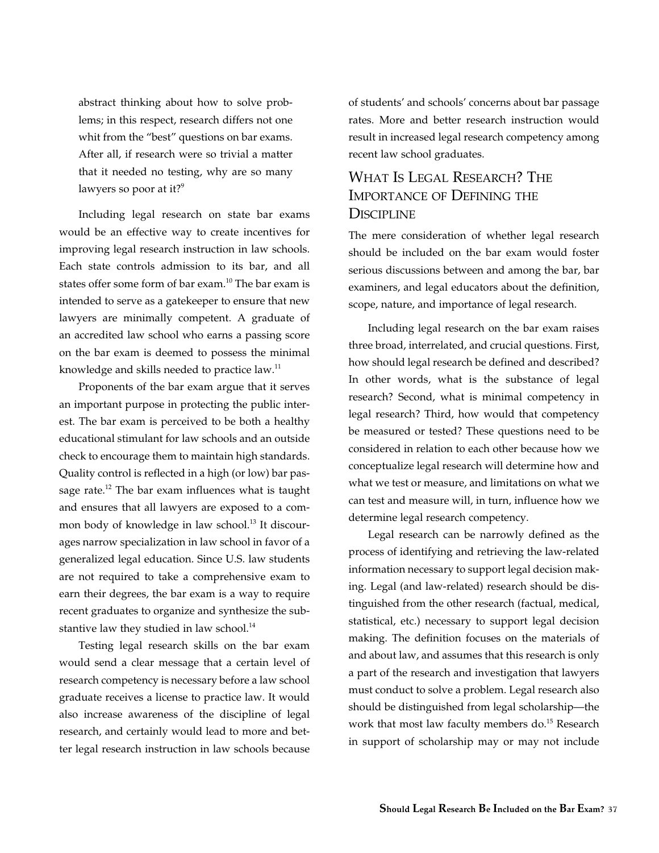abstract thinking about how to solve problems; in this respect, research differs not one whit from the "best" questions on bar exams. After all, if research were so trivial a matter that it needed no testing, why are so many lawyers so poor at it?<sup>9</sup>

Including legal research on state bar exams would be an effective way to create incentives for improving legal research instruction in law schools. Each state controls admission to its bar, and all states offer some form of bar exam.<sup>10</sup> The bar exam is intended to serve as a gatekeeper to ensure that new lawyers are minimally competent. A graduate of an accredited law school who earns a passing score on the bar exam is deemed to possess the minimal knowledge and skills needed to practice law.<sup>11</sup>

Proponents of the bar exam argue that it serves an important purpose in protecting the public interest. The bar exam is perceived to be both a healthy educational stimulant for law schools and an outside check to encourage them to maintain high standards. Quality control is reflected in a high (or low) bar passage rate. $12$  The bar exam influences what is taught and ensures that all lawyers are exposed to a common body of knowledge in law school.<sup>13</sup> It discourages narrow specialization in law school in favor of a generalized legal education. Since U.S. law students are not required to take a comprehensive exam to earn their degrees, the bar exam is a way to require recent graduates to organize and synthesize the substantive law they studied in law school. $^{14}$ 

Testing legal research skills on the bar exam would send a clear message that a certain level of research competency is necessary before a law school graduate receives a license to practice law. It would also increase awareness of the discipline of legal research, and certainly would lead to more and better legal research instruction in law schools because of students' and schools' concerns about bar passage rates. More and better research instruction would result in increased legal research competency among recent law school graduates.

## WHAT IS LEGAL RESEARCH? THE Importance of Defining the **DISCIPLINE**

The mere consideration of whether legal research should be included on the bar exam would foster serious discussions between and among the bar, bar examiners, and legal educators about the definition, scope, nature, and importance of legal research.

Including legal research on the bar exam raises three broad, interrelated, and crucial questions. First, how should legal research be defined and described? In other words, what is the substance of legal research? Second, what is minimal competency in legal research? Third, how would that competency be measured or tested? These questions need to be considered in relation to each other because how we conceptualize legal research will determine how and what we test or measure, and limitations on what we can test and measure will, in turn, influence how we determine legal research competency.

Legal research can be narrowly defined as the process of identifying and retrieving the law-related information necessary to support legal decision making. Legal (and law-related) research should be distinguished from the other research (factual, medical, statistical, etc.) necessary to support legal decision making. The definition focuses on the materials of and about law, and assumes that this research is only a part of the research and investigation that lawyers must conduct to solve a problem. Legal research also should be distinguished from legal scholarship—the work that most law faculty members do.<sup>15</sup> Research in support of scholarship may or may not include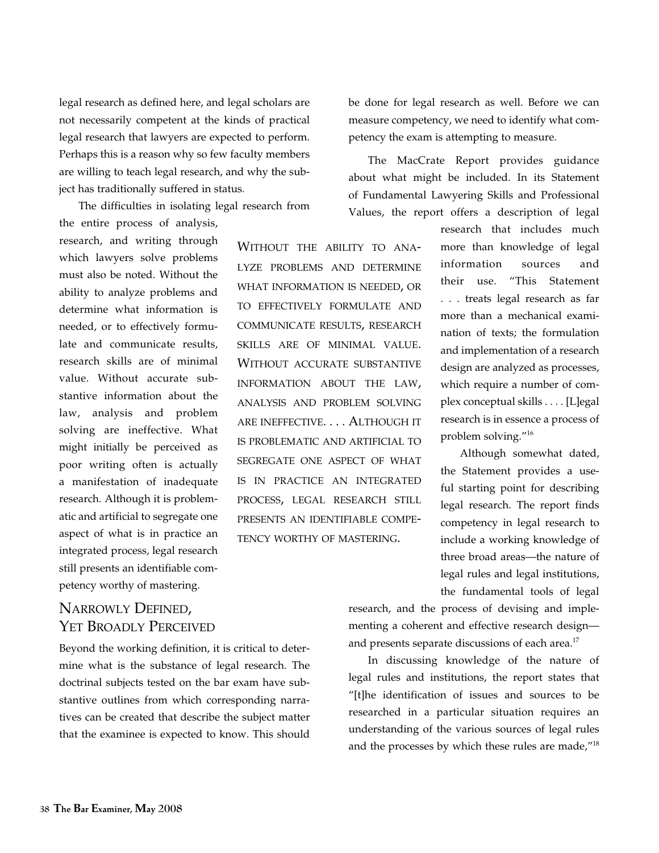legal research as defined here, and legal scholars are not necessarily competent at the kinds of practical legal research that lawyers are expected to perform. Perhaps this is a reason why so few faculty members are willing to teach legal research, and why the subject has traditionally suffered in status.

The difficulties in isolating legal research from

the entire process of analysis, research, and writing through which lawyers solve problems must also be noted. Without the ability to analyze problems and determine what information is needed, or to effectively formulate and communicate results, research skills are of minimal value. Without accurate substantive information about the law, analysis and problem solving are ineffective. What might initially be perceived as poor writing often is actually a manifestation of inadequate research. Although it is problematic and artificial to segregate one aspect of what is in practice an integrated process, legal research still presents an identifiable competency worthy of mastering.

# lyze problems and determine what information is needed, or to effectively formulate and communicate results, research skills are of minimal value. Without accurate substantive information about the law, analysis and problem solving are ineffective. . . . Although it is problematic and artificial to segregate one aspect of what is in practice an integrated process, legal research still presents an identifiable competency worthy of mastering.

WITHOUT THE ABILITY TO ANA-

be done for legal research as well. Before we can measure competency, we need to identify what competency the exam is attempting to measure.

The MacCrate Report provides guidance about what might be included. In its Statement of Fundamental Lawyering Skills and Professional Values, the report offers a description of legal

> research that includes much more than knowledge of legal information sources and their use. "This Statement . . . treats legal research as far more than a mechanical examination of texts; the formulation and implementation of a research design are analyzed as processes, which require a number of complex conceptual skills . . . . [L]egal research is in essence a process of problem solving."16

> Although somewhat dated, the Statement provides a useful starting point for describing legal research. The report finds competency in legal research to include a working knowledge of three broad areas—the nature of legal rules and legal institutions, the fundamental tools of legal

## research, and the process of devising and implementing a coherent and effective research design and presents separate discussions of each area.<sup>17</sup>

In discussing knowledge of the nature of legal rules and institutions, the report states that "[t]he identification of issues and sources to be researched in a particular situation requires an understanding of the various sources of legal rules and the processes by which these rules are made,"<sup>18</sup>

## Narrowly Defined, Yet Broadly Perceived

Beyond the working definition, it is critical to determine what is the substance of legal research. The doctrinal subjects tested on the bar exam have substantive outlines from which corresponding narratives can be created that describe the subject matter that the examinee is expected to know. This should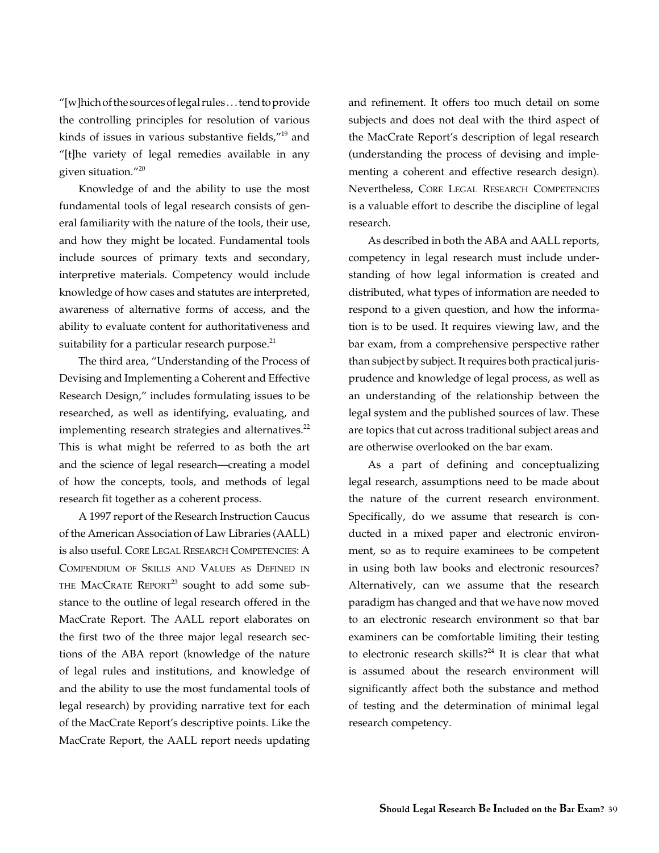"[w]hich of the sources of legal rules . . . tend to provide the controlling principles for resolution of various kinds of issues in various substantive fields,"19 and "[t]he variety of legal remedies available in any given situation."20

Knowledge of and the ability to use the most fundamental tools of legal research consists of general familiarity with the nature of the tools, their use, and how they might be located. Fundamental tools include sources of primary texts and secondary, interpretive materials. Competency would include knowledge of how cases and statutes are interpreted, awareness of alternative forms of access, and the ability to evaluate content for authoritativeness and suitability for a particular research purpose. $^{21}$ 

The third area, "Understanding of the Process of Devising and Implementing a Coherent and Effective Research Design," includes formulating issues to be researched, as well as identifying, evaluating, and implementing research strategies and alternatives.<sup>22</sup> This is what might be referred to as both the art and the science of legal research—creating a model of how the concepts, tools, and methods of legal research fit together as a coherent process.

A 1997 report of the Research Instruction Caucus of the American Association of Law Libraries (AALL) is also useful. Core Legal Research Competencies: A Compendium of Skills and Values as Defined in THE MACCRATE REPORT<sup>23</sup> sought to add some substance to the outline of legal research offered in the MacCrate Report. The AALL report elaborates on the first two of the three major legal research sections of the ABA report (knowledge of the nature of legal rules and institutions, and knowledge of and the ability to use the most fundamental tools of legal research) by providing narrative text for each of the MacCrate Report's descriptive points. Like the MacCrate Report, the AALL report needs updating and refinement. It offers too much detail on some subjects and does not deal with the third aspect of the MacCrate Report's description of legal research (understanding the process of devising and implementing a coherent and effective research design). Nevertheless, Core Legal Research Competencies is a valuable effort to describe the discipline of legal research.

As described in both the ABA and AALL reports, competency in legal research must include understanding of how legal information is created and distributed, what types of information are needed to respond to a given question, and how the information is to be used. It requires viewing law, and the bar exam, from a comprehensive perspective rather than subject by subject. It requires both practical jurisprudence and knowledge of legal process, as well as an understanding of the relationship between the legal system and the published sources of law. These are topics that cut across traditional subject areas and are otherwise overlooked on the bar exam.

As a part of defining and conceptualizing legal research, assumptions need to be made about the nature of the current research environment. Specifically, do we assume that research is conducted in a mixed paper and electronic environment, so as to require examinees to be competent in using both law books and electronic resources? Alternatively, can we assume that the research paradigm has changed and that we have now moved to an electronic research environment so that bar examiners can be comfortable limiting their testing to electronic research skills? $24$  It is clear that what is assumed about the research environment will significantly affect both the substance and method of testing and the determination of minimal legal research competency.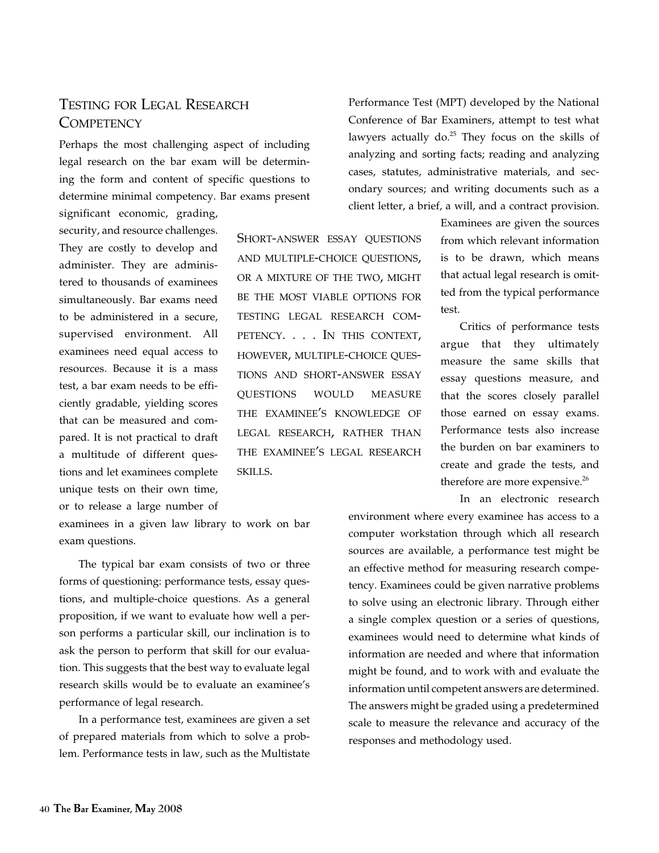## Testing for Legal Research **COMPETENCY**

Perhaps the most challenging aspect of including legal research on the bar exam will be determining the form and content of specific questions to determine minimal competency. Bar exams present

significant economic, grading, security, and resource challenges. They are costly to develop and administer. They are administered to thousands of examinees simultaneously. Bar exams need to be administered in a secure, supervised environment. All examinees need equal access to resources. Because it is a mass test, a bar exam needs to be efficiently gradable, yielding scores that can be measured and compared. It is not practical to draft a multitude of different questions and let examinees complete unique tests on their own time, or to release a large number of

SHORT-ANSWER ESSAY OUESTIONS and multiple-choice questions, or a mixture of the two, might be the most viable options for testing legal research competency. . . . In this context, however, multiple-choice questions and short-answer essay questions would measure the examinee's knowledge of legal research, rather than the examinee's legal research skills.

examinees in a given law library to work on bar exam questions.

The typical bar exam consists of two or three forms of questioning: performance tests, essay questions, and multiple-choice questions. As a general proposition, if we want to evaluate how well a person performs a particular skill, our inclination is to ask the person to perform that skill for our evaluation. This suggests that the best way to evaluate legal research skills would be to evaluate an examinee's performance of legal research.

In a performance test, examinees are given a set of prepared materials from which to solve a problem. Performance tests in law, such as the Multistate Performance Test (MPT) developed by the National Conference of Bar Examiners, attempt to test what lawyers actually  $do^{25}$  They focus on the skills of analyzing and sorting facts; reading and analyzing cases, statutes, administrative materials, and secondary sources; and writing documents such as a client letter, a brief, a will, and a contract provision.

> Examinees are given the sources from which relevant information is to be drawn, which means that actual legal research is omitted from the typical performance test.

Critics of performance tests argue that they ultimately measure the same skills that essay questions measure, and that the scores closely parallel those earned on essay exams. Performance tests also increase the burden on bar examiners to create and grade the tests, and therefore are more expensive.<sup>26</sup>

In an electronic research

environment where every examinee has access to a computer workstation through which all research sources are available, a performance test might be an effective method for measuring research competency. Examinees could be given narrative problems to solve using an electronic library. Through either a single complex question or a series of questions, examinees would need to determine what kinds of information are needed and where that information might be found, and to work with and evaluate the information until competent answers are determined. The answers might be graded using a predetermined scale to measure the relevance and accuracy of the responses and methodology used.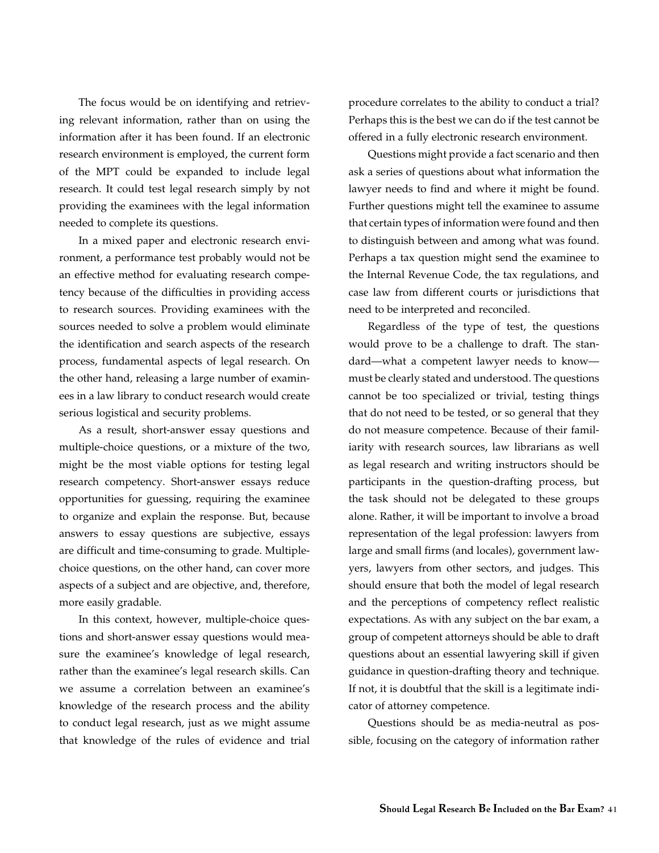The focus would be on identifying and retrieving relevant information, rather than on using the information after it has been found. If an electronic research environment is employed, the current form of the MPT could be expanded to include legal research. It could test legal research simply by not providing the examinees with the legal information needed to complete its questions.

In a mixed paper and electronic research environment, a performance test probably would not be an effective method for evaluating research competency because of the difficulties in providing access to research sources. Providing examinees with the sources needed to solve a problem would eliminate the identification and search aspects of the research process, fundamental aspects of legal research. On the other hand, releasing a large number of examinees in a law library to conduct research would create serious logistical and security problems.

As a result, short-answer essay questions and multiple-choice questions, or a mixture of the two, might be the most viable options for testing legal research competency. Short-answer essays reduce opportunities for guessing, requiring the examinee to organize and explain the response. But, because answers to essay questions are subjective, essays are difficult and time-consuming to grade. Multiplechoice questions, on the other hand, can cover more aspects of a subject and are objective, and, therefore, more easily gradable.

In this context, however, multiple-choice questions and short-answer essay questions would measure the examinee's knowledge of legal research, rather than the examinee's legal research skills. Can we assume a correlation between an examinee's knowledge of the research process and the ability to conduct legal research, just as we might assume that knowledge of the rules of evidence and trial procedure correlates to the ability to conduct a trial? Perhaps this is the best we can do if the test cannot be offered in a fully electronic research environment.

Questions might provide a fact scenario and then ask a series of questions about what information the lawyer needs to find and where it might be found. Further questions might tell the examinee to assume that certain types of information were found and then to distinguish between and among what was found. Perhaps a tax question might send the examinee to the Internal Revenue Code, the tax regulations, and case law from different courts or jurisdictions that need to be interpreted and reconciled.

Regardless of the type of test, the questions would prove to be a challenge to draft. The standard—what a competent lawyer needs to know must be clearly stated and understood. The questions cannot be too specialized or trivial, testing things that do not need to be tested, or so general that they do not measure competence. Because of their familiarity with research sources, law librarians as well as legal research and writing instructors should be participants in the question-drafting process, but the task should not be delegated to these groups alone. Rather, it will be important to involve a broad representation of the legal profession: lawyers from large and small firms (and locales), government lawyers, lawyers from other sectors, and judges. This should ensure that both the model of legal research and the perceptions of competency reflect realistic expectations. As with any subject on the bar exam, a group of competent attorneys should be able to draft questions about an essential lawyering skill if given guidance in question-drafting theory and technique. If not, it is doubtful that the skill is a legitimate indicator of attorney competence.

Questions should be as media-neutral as possible, focusing on the category of information rather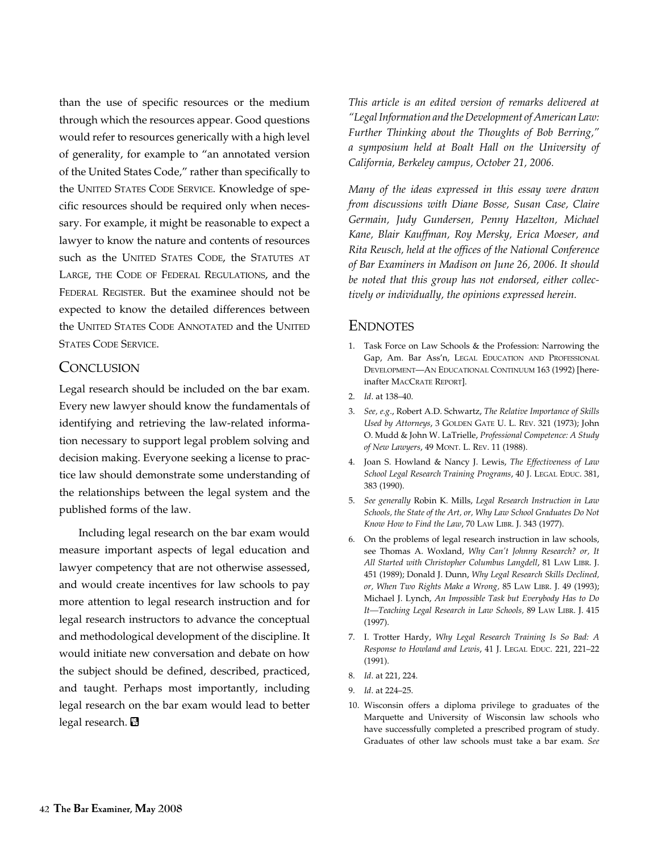than the use of specific resources or the medium through which the resources appear. Good questions would refer to resources generically with a high level of generality, for example to "an annotated version of the United States Code," rather than specifically to the UNITED STATES CODE SERVICE. Knowledge of specific resources should be required only when necessary. For example, it might be reasonable to expect a lawyer to know the nature and contents of resources such as the UNITED STATES CODE, the STATUTES AT Large, the Code of Federal Regulations, and the Federal Register. But the examinee should not be expected to know the detailed differences between the UNITED STATES CODE ANNOTATED and the UNITED STATES CODE SERVICE.

### **CONCLUSION**

Legal research should be included on the bar exam. Every new lawyer should know the fundamentals of identifying and retrieving the law-related information necessary to support legal problem solving and decision making. Everyone seeking a license to practice law should demonstrate some understanding of the relationships between the legal system and the published forms of the law.

Including legal research on the bar exam would measure important aspects of legal education and lawyer competency that are not otherwise assessed, and would create incentives for law schools to pay more attention to legal research instruction and for legal research instructors to advance the conceptual and methodological development of the discipline. It would initiate new conversation and debate on how the subject should be defined, described, practiced, and taught. Perhaps most importantly, including legal research on the bar exam would lead to better legal research. **图** 

*This article is an edited version of remarks delivered at "Legal Information and the Development of American Law: Further Thinking about the Thoughts of Bob Berring," a symposium held at Boalt Hall on the University of California, Berkeley campus, October 21, 2006.*

*Many of the ideas expressed in this essay were drawn from discussions with Diane Bosse, Susan Case, Claire Germain, Judy Gundersen, Penny Hazelton, Michael Kane, Blair Kauffman, Roy Mersky, Erica Moeser, and Rita Reusch, held at the offices of the National Conference of Bar Examiners in Madison on June 26, 2006. It should be noted that this group has not endorsed, either collectively or individually, the opinions expressed herein.*

#### **ENDNOTES**

- 1. Task Force on Law Schools & the Profession: Narrowing the Gap, Am. Bar Ass'n, Legal Education and Professional Development—An Educational Continuum 163 (1992) [hereinafter MACCRATE REPORT].
- 2. *Id*. at 138–40.
- 3. *See, e.g*., Robert A.D. Schwartz, *The Relative Importance of Skills*  Used by Attorneys, 3 GOLDEN GATE U. L. REV. 321 (1973); John O. Mudd & John W. LaTrielle, *Professional Competence: A Study of New Lawyers*, 49 Mont. L. Rev. 11 (1988).
- 4. Joan S. Howland & Nancy J. Lewis, *The Effectiveness of Law School Legal Research Training Programs*, 40 J. Legal Educ. 381, 383 (1990).
- 5. *See generally* Robin K. Mills, *Legal Research Instruction in Law Schools, the State of the Art, or, Why Law School Graduates Do Not Know How to Find the Law*, 70 Law Libr. J. 343 (1977).
- 6. On the problems of legal research instruction in law schools, see Thomas A. Woxland, *Why Can't Johnny Research? or, It All Started with Christopher Columbus Langdell*, 81 Law Libr. J. 451 (1989); Donald J. Dunn, *Why Legal Research Skills Declined, or, When Two Rights Make a Wrong,* 85 Law Libr. J. 49 (1993); Michael J. Lynch, *An Impossible Task but Everybody Has to Do It—Teaching Legal Research in Law Schools,* 89 Law Libr. J. 415 (1997).
- 7. I. Trotter Hardy, *Why Legal Research Training Is So Bad: A Response to Howland and Lewis*, 41 J. LEGAL EDUC. 221, 221-22 (1991).
- 8. *Id*. at 221, 224.
- 9. *Id*. at 224–25.
- 10. Wisconsin offers a diploma privilege to graduates of the Marquette and University of Wisconsin law schools who have successfully completed a prescribed program of study. Graduates of other law schools must take a bar exam. *See*